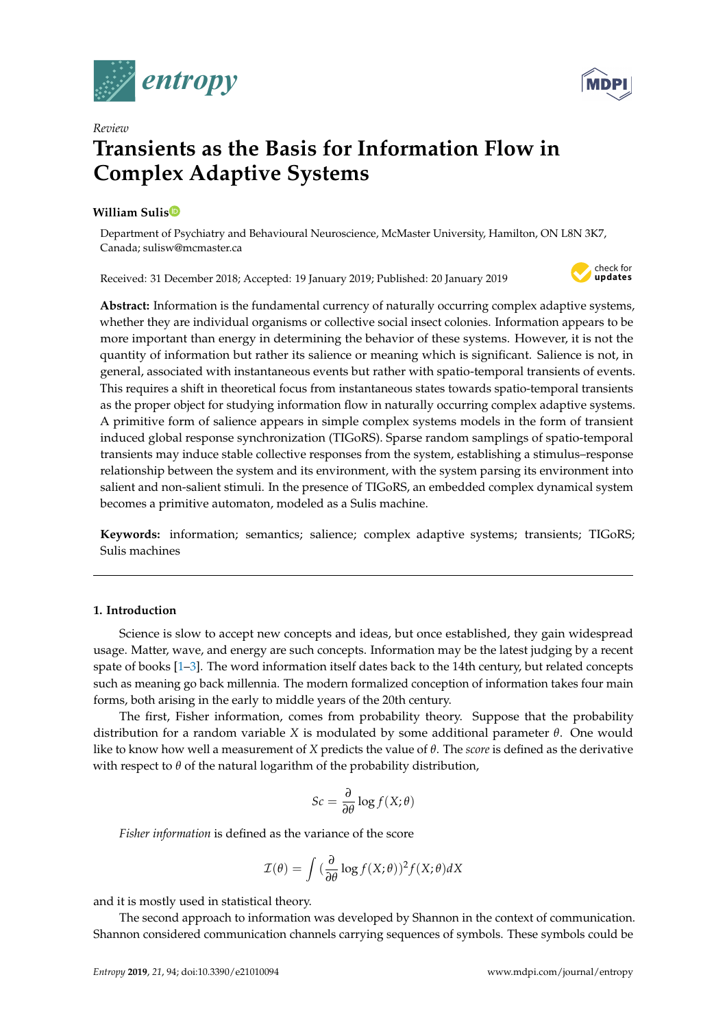



# **Transients as the Basis for Information Flow in Complex Adaptive Systems**

## **William Suli[s](https://orcid.org/0000-0002-0484-381X)**

*Review*

Department of Psychiatry and Behavioural Neuroscience, McMaster University, Hamilton, ON L8N 3K7, Canada; sulisw@mcmaster.ca

Received: 31 December 2018; Accepted: 19 January 2019; Published: 20 January 2019



**Abstract:** Information is the fundamental currency of naturally occurring complex adaptive systems, whether they are individual organisms or collective social insect colonies. Information appears to be more important than energy in determining the behavior of these systems. However, it is not the quantity of information but rather its salience or meaning which is significant. Salience is not, in general, associated with instantaneous events but rather with spatio-temporal transients of events. This requires a shift in theoretical focus from instantaneous states towards spatio-temporal transients as the proper object for studying information flow in naturally occurring complex adaptive systems. A primitive form of salience appears in simple complex systems models in the form of transient induced global response synchronization (TIGoRS). Sparse random samplings of spatio-temporal transients may induce stable collective responses from the system, establishing a stimulus–response relationship between the system and its environment, with the system parsing its environment into salient and non-salient stimuli. In the presence of TIGoRS, an embedded complex dynamical system becomes a primitive automaton, modeled as a Sulis machine.

**Keywords:** information; semantics; salience; complex adaptive systems; transients; TIGoRS; Sulis machines

## **1. Introduction**

Science is slow to accept new concepts and ideas, but once established, they gain widespread usage. Matter, wave, and energy are such concepts. Information may be the latest judging by a recent spate of books [\[1–](#page-11-0)[3\]](#page-11-1). The word information itself dates back to the 14th century, but related concepts such as meaning go back millennia. The modern formalized conception of information takes four main forms, both arising in the early to middle years of the 20th century.

The first, Fisher information, comes from probability theory. Suppose that the probability distribution for a random variable *X* is modulated by some additional parameter *θ*. One would like to know how well a measurement of *X* predicts the value of *θ*. The *score* is defined as the derivative with respect to *θ* of the natural logarithm of the probability distribution,

$$
Sc = \frac{\partial}{\partial \theta} \log f(X; \theta)
$$

*Fisher information* is defined as the variance of the score

$$
\mathcal{I}(\theta) = \int \left(\frac{\partial}{\partial \theta} \log f(X; \theta)\right)^2 f(X; \theta) dX
$$

and it is mostly used in statistical theory.

The second approach to information was developed by Shannon in the context of communication. Shannon considered communication channels carrying sequences of symbols. These symbols could be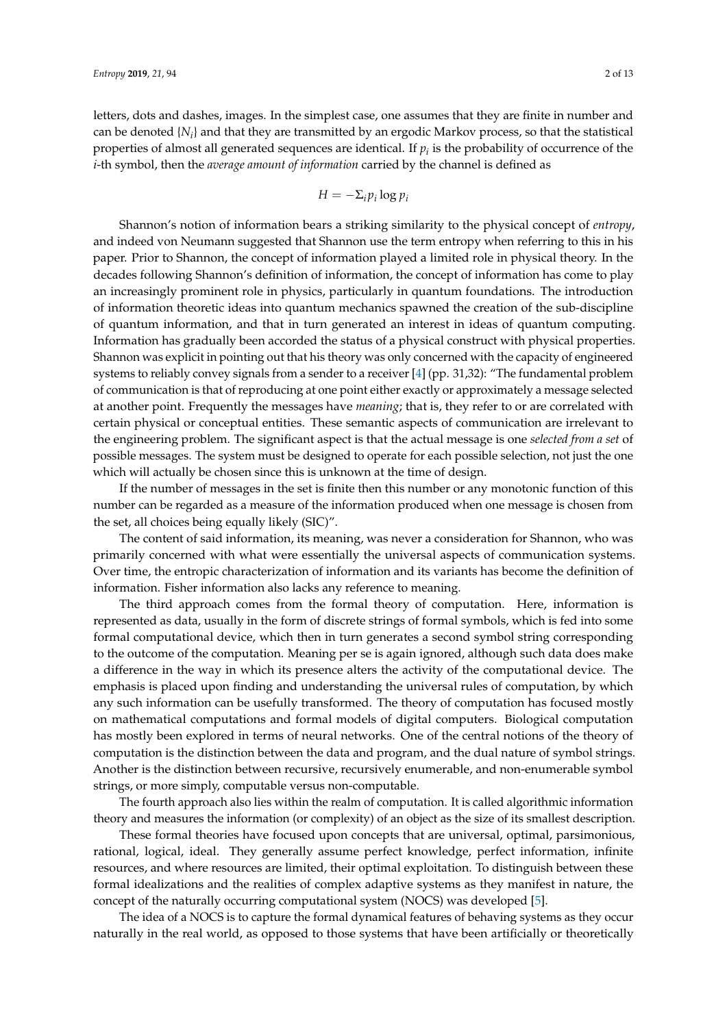letters, dots and dashes, images. In the simplest case, one assumes that they are finite in number and can be denoted  $\{N_i\}$  and that they are transmitted by an ergodic Markov process, so that the statistical properties of almost all generated sequences are identical. If  $p_i$  is the probability of occurrence of the *i*-th symbol, then the *average amount of information* carried by the channel is defined as

$$
H=-\Sigma_i p_i \log p_i
$$

Shannon's notion of information bears a striking similarity to the physical concept of *entropy*, and indeed von Neumann suggested that Shannon use the term entropy when referring to this in his paper. Prior to Shannon, the concept of information played a limited role in physical theory. In the decades following Shannon's definition of information, the concept of information has come to play an increasingly prominent role in physics, particularly in quantum foundations. The introduction of information theoretic ideas into quantum mechanics spawned the creation of the sub-discipline of quantum information, and that in turn generated an interest in ideas of quantum computing. Information has gradually been accorded the status of a physical construct with physical properties. Shannon was explicit in pointing out that his theory was only concerned with the capacity of engineered systems to reliably convey signals from a sender to a receiver [\[4\]](#page-11-2) (pp. 31,32): "The fundamental problem of communication is that of reproducing at one point either exactly or approximately a message selected at another point. Frequently the messages have *meaning*; that is, they refer to or are correlated with certain physical or conceptual entities. These semantic aspects of communication are irrelevant to the engineering problem. The significant aspect is that the actual message is one *selected from a set* of possible messages. The system must be designed to operate for each possible selection, not just the one which will actually be chosen since this is unknown at the time of design.

If the number of messages in the set is finite then this number or any monotonic function of this number can be regarded as a measure of the information produced when one message is chosen from the set, all choices being equally likely (SIC)".

The content of said information, its meaning, was never a consideration for Shannon, who was primarily concerned with what were essentially the universal aspects of communication systems. Over time, the entropic characterization of information and its variants has become the definition of information. Fisher information also lacks any reference to meaning.

The third approach comes from the formal theory of computation. Here, information is represented as data, usually in the form of discrete strings of formal symbols, which is fed into some formal computational device, which then in turn generates a second symbol string corresponding to the outcome of the computation. Meaning per se is again ignored, although such data does make a difference in the way in which its presence alters the activity of the computational device. The emphasis is placed upon finding and understanding the universal rules of computation, by which any such information can be usefully transformed. The theory of computation has focused mostly on mathematical computations and formal models of digital computers. Biological computation has mostly been explored in terms of neural networks. One of the central notions of the theory of computation is the distinction between the data and program, and the dual nature of symbol strings. Another is the distinction between recursive, recursively enumerable, and non-enumerable symbol strings, or more simply, computable versus non-computable.

The fourth approach also lies within the realm of computation. It is called algorithmic information theory and measures the information (or complexity) of an object as the size of its smallest description.

These formal theories have focused upon concepts that are universal, optimal, parsimonious, rational, logical, ideal. They generally assume perfect knowledge, perfect information, infinite resources, and where resources are limited, their optimal exploitation. To distinguish between these formal idealizations and the realities of complex adaptive systems as they manifest in nature, the concept of the naturally occurring computational system (NOCS) was developed [\[5\]](#page-11-3).

The idea of a NOCS is to capture the formal dynamical features of behaving systems as they occur naturally in the real world, as opposed to those systems that have been artificially or theoretically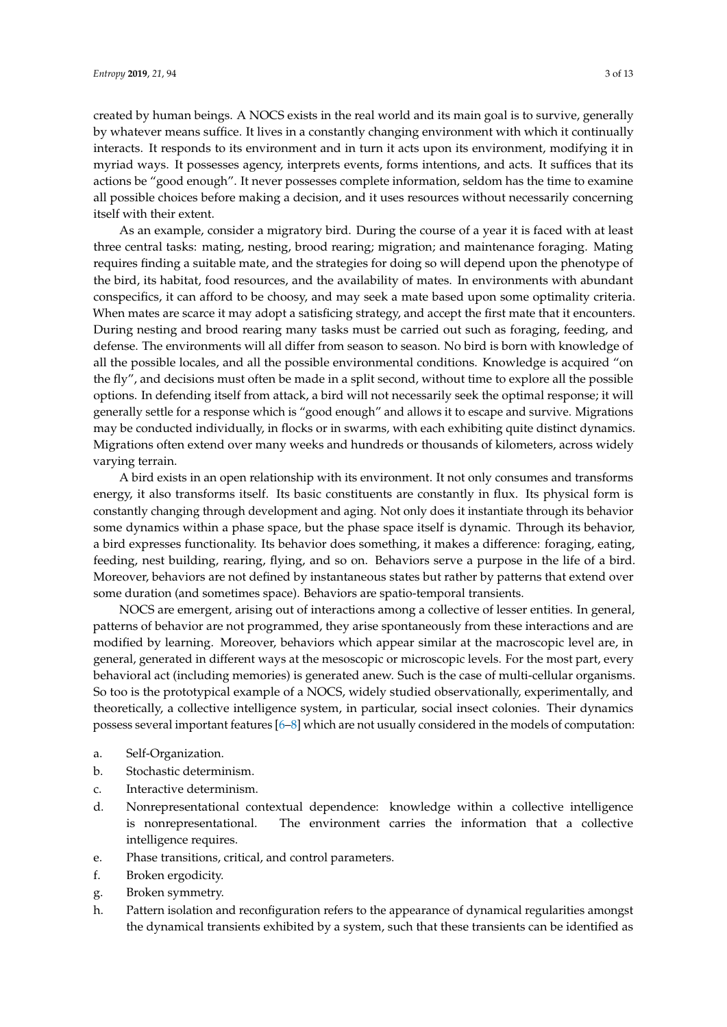created by human beings. A NOCS exists in the real world and its main goal is to survive, generally by whatever means suffice. It lives in a constantly changing environment with which it continually interacts. It responds to its environment and in turn it acts upon its environment, modifying it in myriad ways. It possesses agency, interprets events, forms intentions, and acts. It suffices that its actions be "good enough". It never possesses complete information, seldom has the time to examine all possible choices before making a decision, and it uses resources without necessarily concerning itself with their extent.

As an example, consider a migratory bird. During the course of a year it is faced with at least three central tasks: mating, nesting, brood rearing; migration; and maintenance foraging. Mating requires finding a suitable mate, and the strategies for doing so will depend upon the phenotype of the bird, its habitat, food resources, and the availability of mates. In environments with abundant conspecifics, it can afford to be choosy, and may seek a mate based upon some optimality criteria. When mates are scarce it may adopt a satisficing strategy, and accept the first mate that it encounters. During nesting and brood rearing many tasks must be carried out such as foraging, feeding, and defense. The environments will all differ from season to season. No bird is born with knowledge of all the possible locales, and all the possible environmental conditions. Knowledge is acquired "on the fly", and decisions must often be made in a split second, without time to explore all the possible options. In defending itself from attack, a bird will not necessarily seek the optimal response; it will generally settle for a response which is "good enough" and allows it to escape and survive. Migrations may be conducted individually, in flocks or in swarms, with each exhibiting quite distinct dynamics. Migrations often extend over many weeks and hundreds or thousands of kilometers, across widely varying terrain.

A bird exists in an open relationship with its environment. It not only consumes and transforms energy, it also transforms itself. Its basic constituents are constantly in flux. Its physical form is constantly changing through development and aging. Not only does it instantiate through its behavior some dynamics within a phase space, but the phase space itself is dynamic. Through its behavior, a bird expresses functionality. Its behavior does something, it makes a difference: foraging, eating, feeding, nest building, rearing, flying, and so on. Behaviors serve a purpose in the life of a bird. Moreover, behaviors are not defined by instantaneous states but rather by patterns that extend over some duration (and sometimes space). Behaviors are spatio-temporal transients.

NOCS are emergent, arising out of interactions among a collective of lesser entities. In general, patterns of behavior are not programmed, they arise spontaneously from these interactions and are modified by learning. Moreover, behaviors which appear similar at the macroscopic level are, in general, generated in different ways at the mesoscopic or microscopic levels. For the most part, every behavioral act (including memories) is generated anew. Such is the case of multi-cellular organisms. So too is the prototypical example of a NOCS, widely studied observationally, experimentally, and theoretically, a collective intelligence system, in particular, social insect colonies. Their dynamics possess several important features [\[6](#page-11-4)[–8\]](#page-11-5) which are not usually considered in the models of computation:

- a. Self-Organization.
- b. Stochastic determinism.
- c. Interactive determinism.
- d. Nonrepresentational contextual dependence: knowledge within a collective intelligence is nonrepresentational. The environment carries the information that a collective intelligence requires.
- e. Phase transitions, critical, and control parameters.
- f. Broken ergodicity.
- g. Broken symmetry.
- h. Pattern isolation and reconfiguration refers to the appearance of dynamical regularities amongst the dynamical transients exhibited by a system, such that these transients can be identified as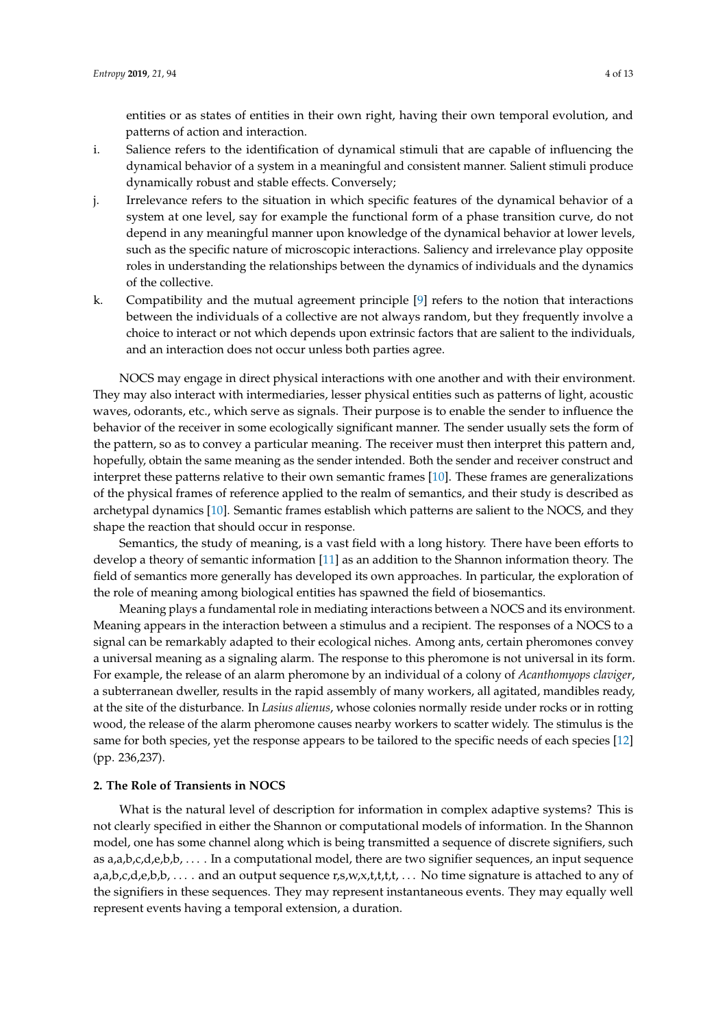entities or as states of entities in their own right, having their own temporal evolution, and patterns of action and interaction.

- i. Salience refers to the identification of dynamical stimuli that are capable of influencing the dynamical behavior of a system in a meaningful and consistent manner. Salient stimuli produce dynamically robust and stable effects. Conversely;
- j. Irrelevance refers to the situation in which specific features of the dynamical behavior of a system at one level, say for example the functional form of a phase transition curve, do not depend in any meaningful manner upon knowledge of the dynamical behavior at lower levels, such as the specific nature of microscopic interactions. Saliency and irrelevance play opposite roles in understanding the relationships between the dynamics of individuals and the dynamics of the collective.
- k. Compatibility and the mutual agreement principle [\[9\]](#page-11-6) refers to the notion that interactions between the individuals of a collective are not always random, but they frequently involve a choice to interact or not which depends upon extrinsic factors that are salient to the individuals, and an interaction does not occur unless both parties agree.

NOCS may engage in direct physical interactions with one another and with their environment. They may also interact with intermediaries, lesser physical entities such as patterns of light, acoustic waves, odorants, etc., which serve as signals. Their purpose is to enable the sender to influence the behavior of the receiver in some ecologically significant manner. The sender usually sets the form of the pattern, so as to convey a particular meaning. The receiver must then interpret this pattern and, hopefully, obtain the same meaning as the sender intended. Both the sender and receiver construct and interpret these patterns relative to their own semantic frames [\[10\]](#page-11-7). These frames are generalizations of the physical frames of reference applied to the realm of semantics, and their study is described as archetypal dynamics [\[10\]](#page-11-7). Semantic frames establish which patterns are salient to the NOCS, and they shape the reaction that should occur in response.

Semantics, the study of meaning, is a vast field with a long history. There have been efforts to develop a theory of semantic information [\[11\]](#page-11-8) as an addition to the Shannon information theory. The field of semantics more generally has developed its own approaches. In particular, the exploration of the role of meaning among biological entities has spawned the field of biosemantics.

Meaning plays a fundamental role in mediating interactions between a NOCS and its environment. Meaning appears in the interaction between a stimulus and a recipient. The responses of a NOCS to a signal can be remarkably adapted to their ecological niches. Among ants, certain pheromones convey a universal meaning as a signaling alarm. The response to this pheromone is not universal in its form. For example, the release of an alarm pheromone by an individual of a colony of *Acanthomyops claviger*, a subterranean dweller, results in the rapid assembly of many workers, all agitated, mandibles ready, at the site of the disturbance. In *Lasius alienus*, whose colonies normally reside under rocks or in rotting wood, the release of the alarm pheromone causes nearby workers to scatter widely. The stimulus is the same for both species, yet the response appears to be tailored to the specific needs of each species [\[12\]](#page-11-9) (pp. 236,237).

#### **2. The Role of Transients in NOCS**

What is the natural level of description for information in complex adaptive systems? This is not clearly specified in either the Shannon or computational models of information. In the Shannon model, one has some channel along which is being transmitted a sequence of discrete signifiers, such as a,a,b,c,d,e,b,b, . . . . In a computational model, there are two signifier sequences, an input sequence  $a, a, b, c, d, e, b, b, \ldots$  and an output sequence r,s,w,x,t,t,t,t,  $\ldots$  No time signature is attached to any of the signifiers in these sequences. They may represent instantaneous events. They may equally well represent events having a temporal extension, a duration.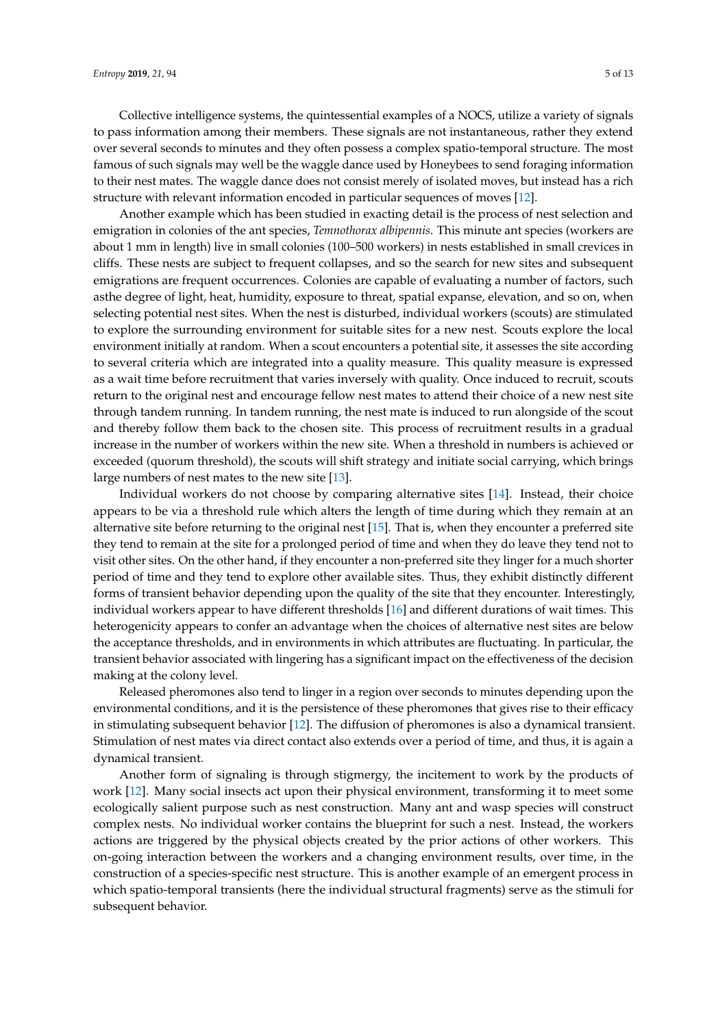Collective intelligence systems, the quintessential examples of a NOCS, utilize a variety of signals to pass information among their members. These signals are not instantaneous, rather they extend over several seconds to minutes and they often possess a complex spatio-temporal structure. The most famous of such signals may well be the waggle dance used by Honeybees to send foraging information to their nest mates. The waggle dance does not consist merely of isolated moves, but instead has a rich structure with relevant information encoded in particular sequences of moves [\[12\]](#page-11-9).

Another example which has been studied in exacting detail is the process of nest selection and emigration in colonies of the ant species, *Temnothorax albipennis*. This minute ant species (workers are about 1 mm in length) live in small colonies (100–500 workers) in nests established in small crevices in cliffs. These nests are subject to frequent collapses, and so the search for new sites and subsequent emigrations are frequent occurrences. Colonies are capable of evaluating a number of factors, such asthe degree of light, heat, humidity, exposure to threat, spatial expanse, elevation, and so on, when selecting potential nest sites. When the nest is disturbed, individual workers (scouts) are stimulated to explore the surrounding environment for suitable sites for a new nest. Scouts explore the local environment initially at random. When a scout encounters a potential site, it assesses the site according to several criteria which are integrated into a quality measure. This quality measure is expressed as a wait time before recruitment that varies inversely with quality. Once induced to recruit, scouts return to the original nest and encourage fellow nest mates to attend their choice of a new nest site through tandem running. In tandem running, the nest mate is induced to run alongside of the scout and thereby follow them back to the chosen site. This process of recruitment results in a gradual increase in the number of workers within the new site. When a threshold in numbers is achieved or exceeded (quorum threshold), the scouts will shift strategy and initiate social carrying, which brings large numbers of nest mates to the new site [\[13\]](#page-11-10).

Individual workers do not choose by comparing alternative sites [\[14\]](#page-11-11). Instead, their choice appears to be via a threshold rule which alters the length of time during which they remain at an alternative site before returning to the original nest [\[15\]](#page-11-12). That is, when they encounter a preferred site they tend to remain at the site for a prolonged period of time and when they do leave they tend not to visit other sites. On the other hand, if they encounter a non-preferred site they linger for a much shorter period of time and they tend to explore other available sites. Thus, they exhibit distinctly different forms of transient behavior depending upon the quality of the site that they encounter. Interestingly, individual workers appear to have different thresholds [\[16\]](#page-11-13) and different durations of wait times. This heterogenicity appears to confer an advantage when the choices of alternative nest sites are below the acceptance thresholds, and in environments in which attributes are fluctuating. In particular, the transient behavior associated with lingering has a significant impact on the effectiveness of the decision making at the colony level.

Released pheromones also tend to linger in a region over seconds to minutes depending upon the environmental conditions, and it is the persistence of these pheromones that gives rise to their efficacy in stimulating subsequent behavior [\[12\]](#page-11-9). The diffusion of pheromones is also a dynamical transient. Stimulation of nest mates via direct contact also extends over a period of time, and thus, it is again a dynamical transient.

Another form of signaling is through stigmergy, the incitement to work by the products of work [\[12\]](#page-11-9). Many social insects act upon their physical environment, transforming it to meet some ecologically salient purpose such as nest construction. Many ant and wasp species will construct complex nests. No individual worker contains the blueprint for such a nest. Instead, the workers actions are triggered by the physical objects created by the prior actions of other workers. This on-going interaction between the workers and a changing environment results, over time, in the construction of a species-specific nest structure. This is another example of an emergent process in which spatio-temporal transients (here the individual structural fragments) serve as the stimuli for subsequent behavior.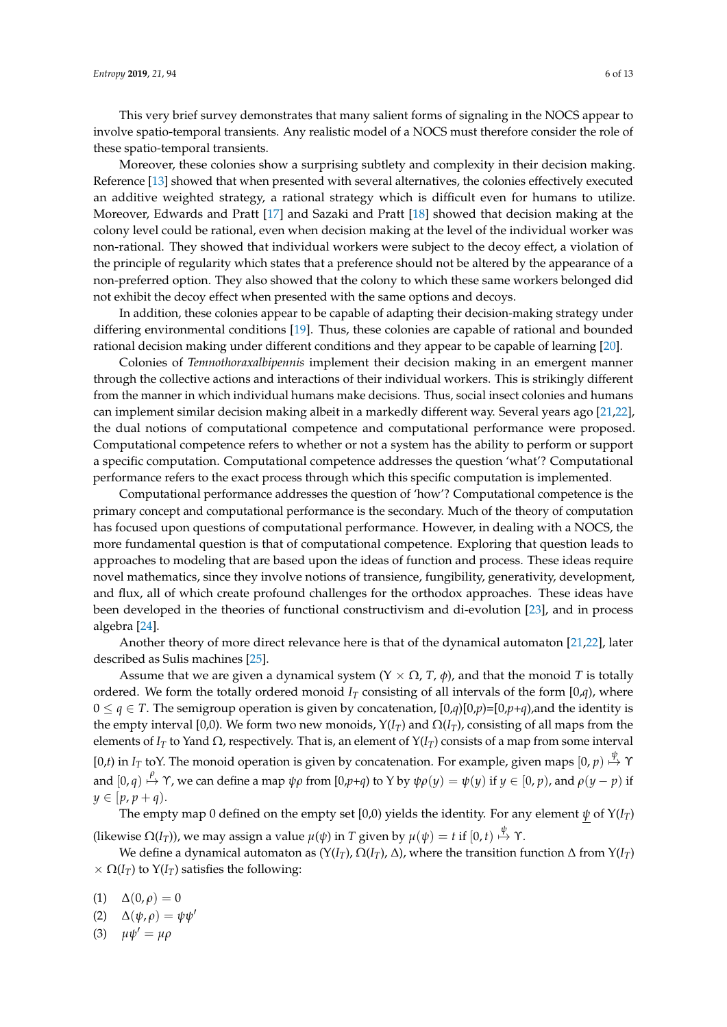This very brief survey demonstrates that many salient forms of signaling in the NOCS appear to involve spatio-temporal transients. Any realistic model of a NOCS must therefore consider the role of these spatio-temporal transients.

Moreover, these colonies show a surprising subtlety and complexity in their decision making. Reference [\[13\]](#page-11-10) showed that when presented with several alternatives, the colonies effectively executed an additive weighted strategy, a rational strategy which is difficult even for humans to utilize. Moreover, Edwards and Pratt [\[17\]](#page-11-14) and Sazaki and Pratt [\[18\]](#page-11-15) showed that decision making at the colony level could be rational, even when decision making at the level of the individual worker was non-rational. They showed that individual workers were subject to the decoy effect, a violation of the principle of regularity which states that a preference should not be altered by the appearance of a non-preferred option. They also showed that the colony to which these same workers belonged did not exhibit the decoy effect when presented with the same options and decoys.

In addition, these colonies appear to be capable of adapting their decision-making strategy under differing environmental conditions [\[19\]](#page-11-16). Thus, these colonies are capable of rational and bounded rational decision making under different conditions and they appear to be capable of learning [\[20\]](#page-11-17).

Colonies of *Temnothoraxalbipennis* implement their decision making in an emergent manner through the collective actions and interactions of their individual workers. This is strikingly different from the manner in which individual humans make decisions. Thus, social insect colonies and humans can implement similar decision making albeit in a markedly different way. Several years ago [\[21,](#page-11-18)[22\]](#page-11-19), the dual notions of computational competence and computational performance were proposed. Computational competence refers to whether or not a system has the ability to perform or support a specific computation. Computational competence addresses the question 'what'? Computational performance refers to the exact process through which this specific computation is implemented.

Computational performance addresses the question of 'how'? Computational competence is the primary concept and computational performance is the secondary. Much of the theory of computation has focused upon questions of computational performance. However, in dealing with a NOCS, the more fundamental question is that of computational competence. Exploring that question leads to approaches to modeling that are based upon the ideas of function and process. These ideas require novel mathematics, since they involve notions of transience, fungibility, generativity, development, and flux, all of which create profound challenges for the orthodox approaches. These ideas have been developed in the theories of functional constructivism and di-evolution [\[23\]](#page-12-0), and in process algebra [\[24\]](#page-12-1).

Another theory of more direct relevance here is that of the dynamical automaton [\[21](#page-11-18)[,22\]](#page-11-19), later described as Sulis machines [\[25\]](#page-12-2).

Assume that we are given a dynamical system  $(Y \times \Omega, T, \phi)$ , and that the monoid *T* is totally ordered. We form the totally ordered monoid  $I_T$  consisting of all intervals of the form  $[0,q)$ , where 0 ≤ *q* ∈ *T*. The semigroup operation is given by concatenation,  $[0,q)[0,p) = [0,p+q)$ , and the identity is the empty interval [0,0). We form two new monoids,  $Y(I_T)$  and  $\Omega(I_T)$ , consisting of all maps from the elements of *I*<sub>*T*</sub> to Yand Ω, respectively. That is, an element of  $Y(I_T)$  consists of a map from some interval  $[0,t)$  in *I*<sub>*T*</sub> toY. The monoid operation is given by concatenation. For example, given maps  $[0,p) \stackrel{\psi}{\mapsto} \Upsilon$ and  $[0,q) \stackrel{\rho}{\mapsto} \Upsilon$ , we can define a map  $\psi \rho$  from  $[0,p+q)$  to Y by  $\psi \rho(y) = \psi(y)$  if  $y \in [0,p)$ , and  $\rho(y-p)$  if  $y \in [p, p + q)$ .

The empty map 0 defined on the empty set [0,0) yields the identity. For any element  $\psi$  of  $Y(I_T)$ (likewise  $\Omega(I_T)$ ), we may assign a value  $\mu(\psi)$  in  $T$  given by  $\mu(\psi)=t$  if  $[0,t)\stackrel{\psi}{\mapsto}\Upsilon.$ 

We define a dynamical automaton as  $(Y(I_T), \Omega(I_T), \Delta)$ , where the transition function  $\Delta$  from  $Y(I_T)$  $\times \Omega(I_T)$  to  $Y(I_T)$  satisfies the following:

- (1)  $\Delta(0,\rho) = 0$
- (2)  $\Delta(\psi,\rho) = \psi\psi'$
- (3)  $\mu \psi' = \mu \rho$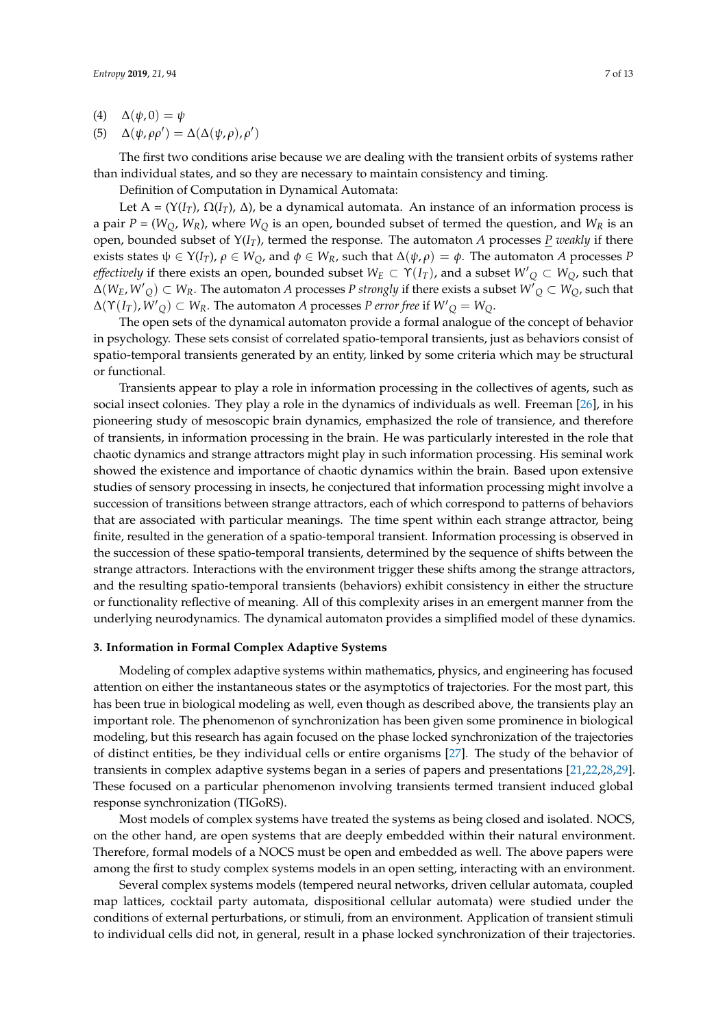(5) 
$$
\Delta(\psi, \rho \rho') = \Delta(\Delta(\psi, \rho), \rho')
$$

The first two conditions arise because we are dealing with the transient orbits of systems rather than individual states, and so they are necessary to maintain consistency and timing.

Definition of Computation in Dynamical Automata:

Let A =  $(Y(I_T), \Omega(I_T), \Delta)$ , be a dynamical automata. An instance of an information process is a pair  $P = (W_O, W_R)$ , where  $W_O$  is an open, bounded subset of termed the question, and  $W_R$  is an open, bounded subset of  $Y(I_T)$ , termed the response. The automaton *A* processes <u>*P*</u> *weakly* if there exists states  $\psi \in Y(I_T)$ ,  $\rho \in W_Q$ , and  $\phi \in W_R$ , such that  $\Delta(\psi, \rho) = \phi$ . The automaton *A* processes *P effectively* if there exists an open, bounded subset  $W_E\subset \Upsilon(I_T)$ , and a subset  $W_Q'\subset W_Q$ , such that  $\Delta(W_E, W'_{Q}) \subset W_R$ . The automaton *A* processes *P strongly if there exists a subset*  $W'_{Q} \subset W_{Q}$ *, such that*  $\Delta(\Upsilon(I_T), W'_{Q}) \subset W_R$ . The automaton *A* processes *P error free* if  $W'_{Q} = W_{Q}$ .

The open sets of the dynamical automaton provide a formal analogue of the concept of behavior in psychology. These sets consist of correlated spatio-temporal transients, just as behaviors consist of spatio-temporal transients generated by an entity, linked by some criteria which may be structural or functional.

Transients appear to play a role in information processing in the collectives of agents, such as social insect colonies. They play a role in the dynamics of individuals as well. Freeman [\[26\]](#page-12-3), in his pioneering study of mesoscopic brain dynamics, emphasized the role of transience, and therefore of transients, in information processing in the brain. He was particularly interested in the role that chaotic dynamics and strange attractors might play in such information processing. His seminal work showed the existence and importance of chaotic dynamics within the brain. Based upon extensive studies of sensory processing in insects, he conjectured that information processing might involve a succession of transitions between strange attractors, each of which correspond to patterns of behaviors that are associated with particular meanings. The time spent within each strange attractor, being finite, resulted in the generation of a spatio-temporal transient. Information processing is observed in the succession of these spatio-temporal transients, determined by the sequence of shifts between the strange attractors. Interactions with the environment trigger these shifts among the strange attractors, and the resulting spatio-temporal transients (behaviors) exhibit consistency in either the structure or functionality reflective of meaning. All of this complexity arises in an emergent manner from the underlying neurodynamics. The dynamical automaton provides a simplified model of these dynamics.

### **3. Information in Formal Complex Adaptive Systems**

Modeling of complex adaptive systems within mathematics, physics, and engineering has focused attention on either the instantaneous states or the asymptotics of trajectories. For the most part, this has been true in biological modeling as well, even though as described above, the transients play an important role. The phenomenon of synchronization has been given some prominence in biological modeling, but this research has again focused on the phase locked synchronization of the trajectories of distinct entities, be they individual cells or entire organisms [\[27\]](#page-12-4). The study of the behavior of transients in complex adaptive systems began in a series of papers and presentations [\[21,](#page-11-18)[22,](#page-11-19)[28,](#page-12-5)[29\]](#page-12-6). These focused on a particular phenomenon involving transients termed transient induced global response synchronization (TIGoRS).

Most models of complex systems have treated the systems as being closed and isolated. NOCS, on the other hand, are open systems that are deeply embedded within their natural environment. Therefore, formal models of a NOCS must be open and embedded as well. The above papers were among the first to study complex systems models in an open setting, interacting with an environment.

Several complex systems models (tempered neural networks, driven cellular automata, coupled map lattices, cocktail party automata, dispositional cellular automata) were studied under the conditions of external perturbations, or stimuli, from an environment. Application of transient stimuli to individual cells did not, in general, result in a phase locked synchronization of their trajectories.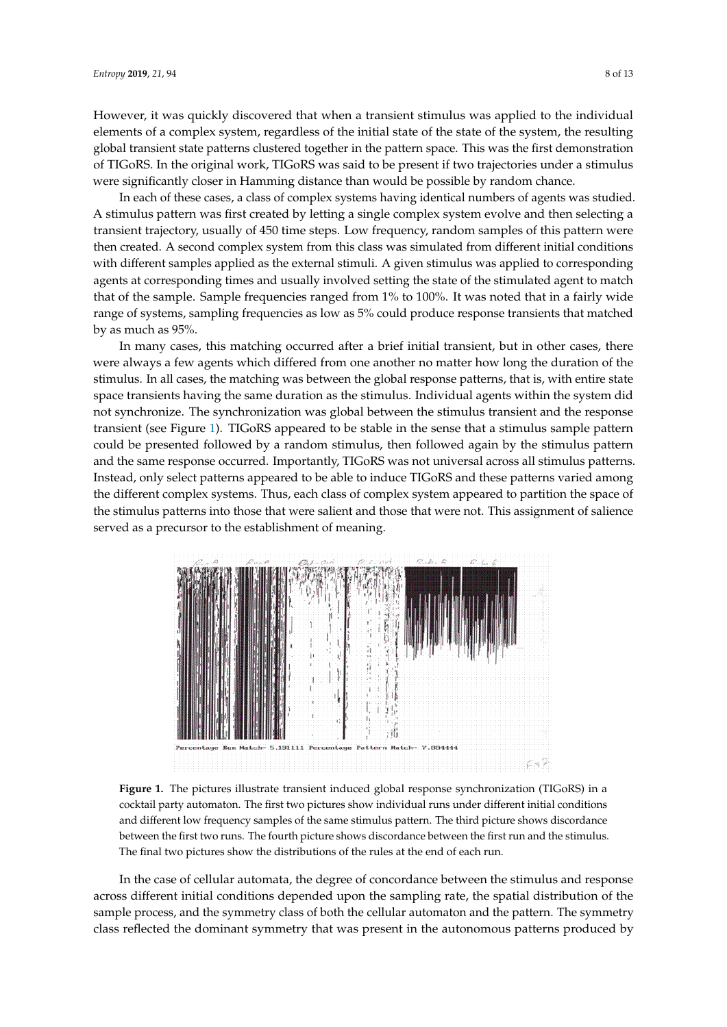However, it was quickly discovered that when a transient stimulus was applied to the individual state of the initial state of the system, the system, the system, the system, the state of the state of the state of the state elements of a complex system, regardless of the initial state of the state of the system, the resulting global transient state patterns clustered together in the pattern space. This was the first demonstration  $\overline{a}$ of TIGoRS. In the original work, TIGoRS was said to be present if two trajectories under a stimulus were significantly closer in Hamming distance than would be possible by random chance.

In each of these cases, a class of complex systems having identical numbers of agents was studied. In each of these cases, a class of complex systems having identical numbers of agents was A stimulus pattern was first created by letting a single complex system evolve and then selecting a single complex system evolve and then selecting a transient trajectory, usually of 450 time steps. Low frequency, random samples of this pattern were then created. A second complex system from this class was simulated from different initial conditions with different samples applied as the external stimuli. A given stimulus was applied to corresponding agents at corresponding times and usually involved setting the state of the stimulated agent to match that of the sample. Sample frequencies ranged from  $1\%$  to  $100\%$ . It was noted that in a fairly wide range of systems, sampling frequencies as low as 5% could produce response transients that matched by as much as  $95\%$ .

In many cases, this matching occurred after a brief initial transient, but in other cases, there were always a few agents which differed from one another no matter how long the duration of the were always a few agents which differed from one another no matter how long the duration of the stimulus. In all cases, the matching was between the global response patterns, that is, with entire state space transients having the same duration as the stimulus. Individual agents within the system did not synchronize. The synchronization was global between the stimulus transient and the response transient (see Figure [1\)](#page-7-0). TIGoRS appeared to be stable in the sense that a stimulus sample pattern could be presented followed by a random stimulus, then followed again by the stimulus pattern and the same response occurred. Importantly, TIGoRS was not universal across all stimulus patterns. Instead, only select patterns appeared to be able to induce TIGoRS and these patterns varied among the different complex systems. Thus, each class of complex system appeared to partition the space of the stimulus patterns into those that were salient and those that were not. This assignment of salience served as a precursor to the establishment of meaning.

<span id="page-7-0"></span>

**Figure 1.** The pictures illustrate transient induced global response synchronization (TIGoRS) in a **Figure 1.** The pictures illustrate transient induced global response synchronization (TIGoRS) in a cocktail party automaton. The first two pictures show individual runs under different initial cocktail party automaton. The first two pictures show individual runs under different initial conditions and different low frequency samples of the same stimulus pattern. The third picture shows discordance between the first two runs. The fourth picture shows discordance between the first run and the stimulus. The final two pictures show the distributions of the rules at the end of each run.

across different initial conditions depended upon the sampling rate, the spatial distribution of the sample process, and the symmetry class of both the cellular automaton and the pattern. The symmetry class reflected the dominant symmetry that was present in the autonomous patterns produced by In the case of cellular automata, the degree of concordance between the stimulus and response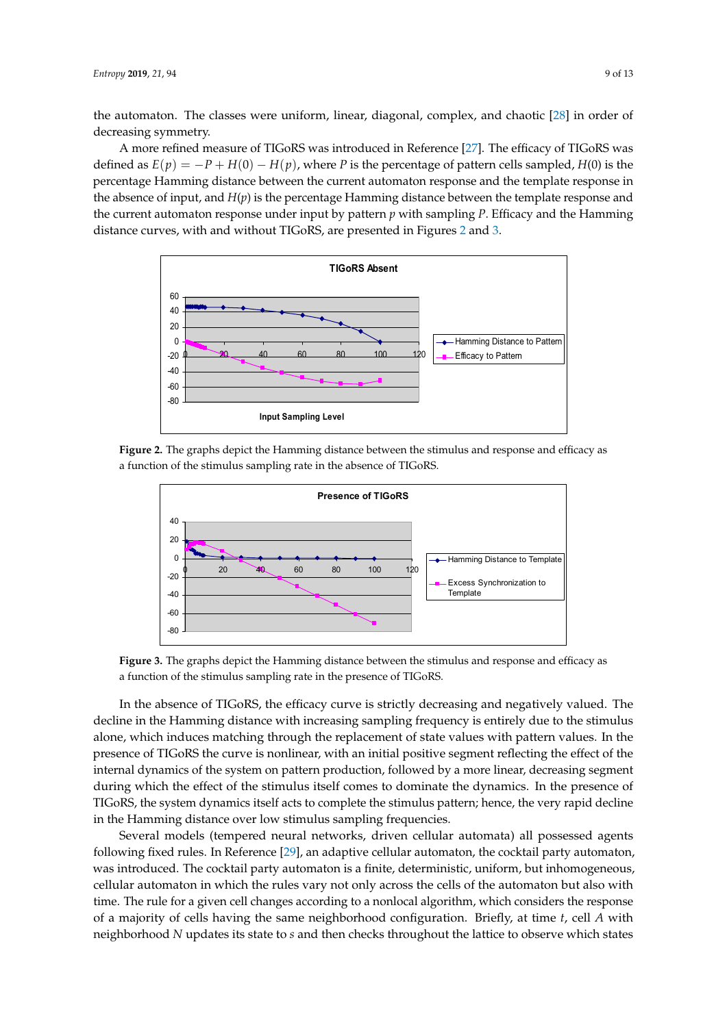the automaton. The classes were uniform, linear, diagonal, complex, and chaotic [\[28\]](#page-12-5) in order of decreasing symmetry.

A more refined measure of TIGoRS was introduced in Reference [\[27\]](#page-12-4). The efficacy of TIGoRS was defined as  $E(p) = -P + H(0) - H(p)$ , where *P* is the percentage of pattern cells sampled, *H*(0) is the percentage Hamming distance between the current automaton response and the template response in percentage Hamming distance between the current automaton response and the template response in<br>The contract of *P. With sampling and the current* automator in put by pattern *pattern in* pattern *pattern pattern patte* the absence of input, and  $H(p)$  is the percentage Hamming distance between the template response and the current automaton response under input by pattern  $p$  with sampling  $P$ . Efficacy and the Hamming  $\frac{p}{p}$ distance curves, with and without TIGoRS, are presented in Figures [2](#page-8-0) and [3.](#page-8-1) Figures 2 and 3.

<span id="page-8-0"></span>

<span id="page-8-1"></span>Figure 2. The graphs depict the Hamming distance between the stimulus and response and efficacy as a function of the stimulus sampling rate in the absence of TIGoRS.



a function of the stimulus sampling rate in the presence of TIGoRS. **Figure 3.** The graphs depict the Hamming distance between the stimulus and response and efficacy **Figure 3.** The graphs depict the Hamming distance between the stimulus and response and efficacy as

decline in the Hamming distance with increasing sampling frequency is entirely due to the stimulus decline in the stimulus of the stimulus of the stimulus of the stimulus of the stimulus of the stimulus of the stimulus of alone, which induces matching through the replacement of state values with pattern values. In the stimulus of the stimulus is entitled to the stimulus of the stimulus of the stimulus of the stimulus of the stimulus of the presence of TIGoRS the curve is nonlinear, with an initial positive segment reflecting the effect of the curve internal dynamics of the system on pattern production, followed by a more linear, decreasing segment the effect of the effect of the effect of the system of the system of the system of the system of the system of the syste during which the effect of the stimulus itself comes to dominate the dynamics. In the presence of  $\overline{MS}$  and  $\overline{MS}$  and  $\overline{MS}$  and  $\overline{MS}$  and  $\overline{MS}$  and  $\overline{MS}$  and  $\overline{MS}$  and  $\overline{MS}$  and  $\overline{MS}$  and  $\overline{MS}$ TIGoRS, the system dynamics itself acts to complete the stimulus pattern; hence, the very rapid decline in the Hamming distance over low stimulus sampling frequencies. In the absence of TIGoRS, the efficacy curve is strictly decreasing and negatively valued. The In the absence of TIGoRS, the efficacy curve is strictly decreasing and negatively valued. The If the Hamming distance over low stimulus sampling frequencies. decline in the Hamming distance with increasing sampling frequency is entirely due to the stimulus<br>alone, which induces matching through the replacement of state values with pattern values. In the<br>presence of TIGoRS the cu

Several models (tempered neural networks, driven cellular automata) all pos wing fixed rules. In Reference [29], an adaptive cellular automaton, the cocktail party automaton, was introduced. The cocktail party automaton is a finite, deterministic, uniform, but inhomogeneous, cellular automaton in which the rules vary not only across the cells of the automaton but also with cellular automaton in which the rules vary not only across the cells of the automaton but also with<br>time. The rule for a given cell changes according to a nonlocal algorithm, which considers the response of a majority of cells having the same neighborhood configuration. Briefly, at time  $t$ , cell  $A$  with of a majority of cells having the same neighborhood configuration. Briefly, at time  $t$ , cell  $A$  with neighborhood  $N$  updates its state to  $s$  and then checks throughout the lattice to observe which states Several models (tempered neural networks, driven cellular automata) all possessed agents following fixed rules. In Reference [29], an adaptive cellular automaton, the cocktail party following fixed rules. In Reference [29], an adaptive cellular automaton, the cocktail party automaton, was introduced. The cocktail party automatories a finite, deterministic, uniform, but informogeneous, central automaton in which the rules vary not only across the cells of the automatori but also while and the rule for a given cen enarges according to a nonlocal algorithm, which considers the response of a majority of cells having the same neighborhood comiguration. Drivity, at third t, cell 21 with Several models (tempered neural networks, driven cellular automata) all possessed agents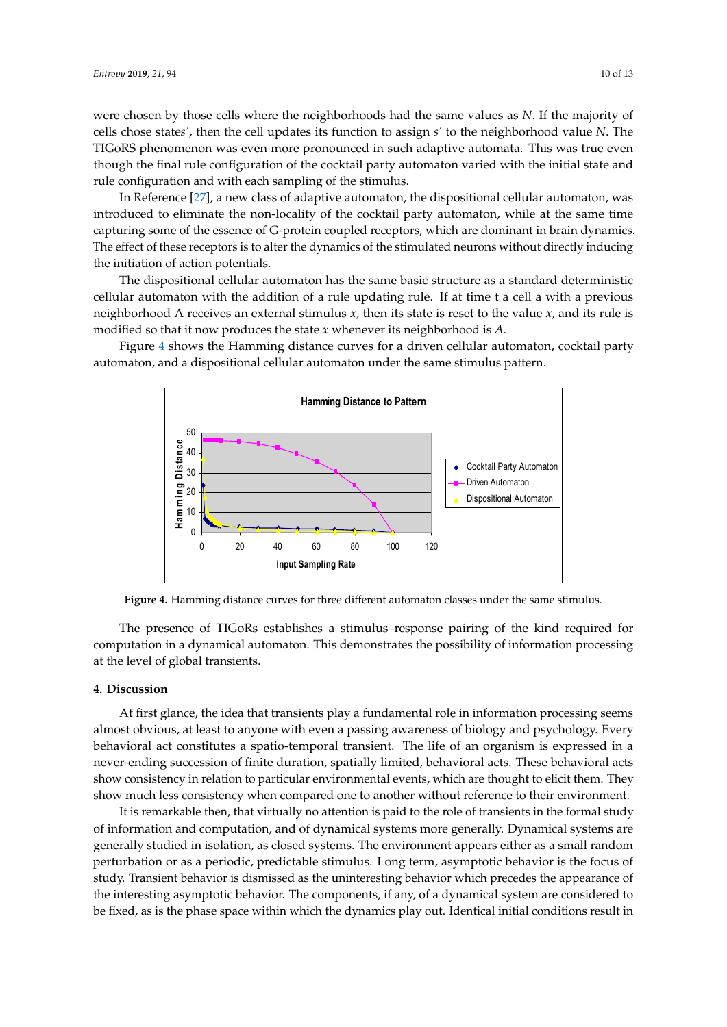were chosen by those cells where the neighborhoods had the same values as *N*. If the majority of cells chose state*s'*, then the cell updates its function to assign *s'* to the neighborhood value *N*. The cells chose states', then the cell updates its function to assign s' to the neighborhood value N. The TIGoRS phenomenon was even more pronounced in such adaptive automata. This was true even though the final rule configuration of the cocktail party automaton varied with the initial state and<br>rule configuration and with each sampling of the stimulus. rule configuration and with each sampling of the stimulus.

In Reference [27], a new class of adaptive automaton, the dispositional cellular automaton, was In Reference [\[27\]](#page-12-4), a new class of adaptive automaton, the dispositional cellular automaton, was introduced to eliminate the non-locality of the cocktail party automaton, while at the same time introduced to eliminate the non-locality of the cocktail party automaton, while at the same time capturing some of the essence of G-protein coupled receptors, which are dominant in brain dynamics. capturing some of the essence of G-protein coupled receptors, which are dominant in brain The effect of these receptors is to alter the dynamics of the stimulated neurons without directly inducing the initiation of action potentials.

The dispositional cellular automaton has the same basic structure as a standard deterministic The dispositional cellular automaton has the same basic structure as a standard deterministic cellular automaton with the addition of a rule updating rule. If at time t a cell a with a previous cellular automaton with the addition of a rule updating rule. If at time t a cell a with a previous neighborhood A receives an external stimulus  $x$ , then its state is reset to the value  $x$ , and its rule is modified so that it now produces the state *x* whenever its neighborhood is *A*. modified so that it now produces the state *x* whenever its neighborhood is *A*.

<span id="page-9-0"></span>Figure 4 shows the Hamming distance curves for a driven cellular automaton, cocktail party Figure [4](#page-9-0) shows the Hamming distance curves for a driven cellular automaton, cocktail party automaton, and a dispositional cellular automaton under the same stimulus pattern. automaton, and a dispositional cellular automaton under the same stimulus pattern.



**Figure 4***.* Hamming distance curves for three different automaton classes under the same stimulus. **Figure 4.** Hamming distance curves for three different automaton classes under the same stimulus.

The presence of TIGoRs establishes a stimulus–response pairing of the kind required for The presence of TIGoRs establishes a stimulus–response pairing of the kind required for computation in a dynamical automaton. This demonstrates the possibility of information processing computation in a dynamical automaton. This demonstrates the possibility of information processing at the level of global transients. at the level of global transients.

#### **4. Discussion 4. Discussion**

At first glance, the idea that transients play a fundamental role in information processing seems almost obvious, at least to anyone with even a passing awareness of biology and psychology. Every almost obvious, at least to anyone with even a passing awareness of biology and psychology. Every behavioral act constitutes a spatio-temporal transient. The life of an organism is expressed in a behavioral act constitutes a spatio-temporal transient. The life of an organism is expressed in a never-ending succession of finite duration, spatially limited, behavioral acts. These behavioral acts never-ending succession of finite duration, spatially limited, senavioral acts. These behavioral acts show consistency in relation to particular environmental events, which are thought to elicit them. They show much less consistency when compared one to another without reference to their environment. At first glance, the idea that transients play a fundamental role in information processing seems

It is remarkable then, that virtually no attention is paid to the role of transients in the formal study It is remarkable then, that virtually no attention is paid to the role of transients in the formal study It is remarkable their, that virtually no attention is paid to the role of distinction in the format state, of information and computation, and of dynamical systems more generally. Dynamical systems are or mormalism and compatation, and or dynamical systems inore generally. By named systems are generally studied in isolation, as closed systems. The environment appears either as a small random perturbation or as a periodic, predictable stimulus. Long term, asymptotic behavior is the focus of perturbation or as a periodic, predictable stimulus. Long term, asymptotic behavior is the focus of pertandation of as a periodic, predictative standation, and any any inprofit sensitivity is the focus of study. Transient behavior is dismissed as the uninteresting behavior which precedes the appearance of betally. Transfer the electricity is distribused as the transferreding seriative. When preceded the uppertunities of the interesting asymptotic behavior. The components, if any, of a dynamical system are considered to the focus of study. Transient behavior is discussed as the unit of the unit of the unit of the unit of the unit be fixed, as is the phase space within which the dynamics play out. Identical initial conditions result in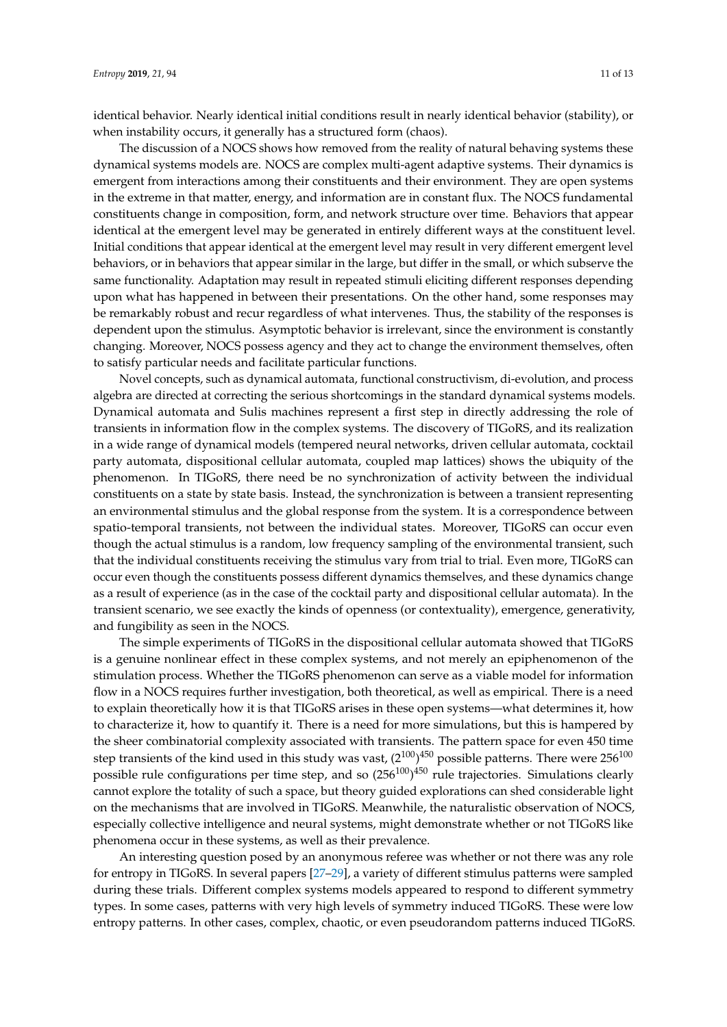identical behavior. Nearly identical initial conditions result in nearly identical behavior (stability), or when instability occurs, it generally has a structured form (chaos).

The discussion of a NOCS shows how removed from the reality of natural behaving systems these dynamical systems models are. NOCS are complex multi-agent adaptive systems. Their dynamics is emergent from interactions among their constituents and their environment. They are open systems in the extreme in that matter, energy, and information are in constant flux. The NOCS fundamental constituents change in composition, form, and network structure over time. Behaviors that appear identical at the emergent level may be generated in entirely different ways at the constituent level. Initial conditions that appear identical at the emergent level may result in very different emergent level behaviors, or in behaviors that appear similar in the large, but differ in the small, or which subserve the same functionality. Adaptation may result in repeated stimuli eliciting different responses depending upon what has happened in between their presentations. On the other hand, some responses may be remarkably robust and recur regardless of what intervenes. Thus, the stability of the responses is dependent upon the stimulus. Asymptotic behavior is irrelevant, since the environment is constantly changing. Moreover, NOCS possess agency and they act to change the environment themselves, often to satisfy particular needs and facilitate particular functions.

Novel concepts, such as dynamical automata, functional constructivism, di-evolution, and process algebra are directed at correcting the serious shortcomings in the standard dynamical systems models. Dynamical automata and Sulis machines represent a first step in directly addressing the role of transients in information flow in the complex systems. The discovery of TIGoRS, and its realization in a wide range of dynamical models (tempered neural networks, driven cellular automata, cocktail party automata, dispositional cellular automata, coupled map lattices) shows the ubiquity of the phenomenon. In TIGoRS, there need be no synchronization of activity between the individual constituents on a state by state basis. Instead, the synchronization is between a transient representing an environmental stimulus and the global response from the system. It is a correspondence between spatio-temporal transients, not between the individual states. Moreover, TIGoRS can occur even though the actual stimulus is a random, low frequency sampling of the environmental transient, such that the individual constituents receiving the stimulus vary from trial to trial. Even more, TIGoRS can occur even though the constituents possess different dynamics themselves, and these dynamics change as a result of experience (as in the case of the cocktail party and dispositional cellular automata). In the transient scenario, we see exactly the kinds of openness (or contextuality), emergence, generativity, and fungibility as seen in the NOCS.

The simple experiments of TIGoRS in the dispositional cellular automata showed that TIGoRS is a genuine nonlinear effect in these complex systems, and not merely an epiphenomenon of the stimulation process. Whether the TIGoRS phenomenon can serve as a viable model for information flow in a NOCS requires further investigation, both theoretical, as well as empirical. There is a need to explain theoretically how it is that TIGoRS arises in these open systems—what determines it, how to characterize it, how to quantify it. There is a need for more simulations, but this is hampered by the sheer combinatorial complexity associated with transients. The pattern space for even 450 time step transients of the kind used in this study was vast, ( $2^{100})^{450}$  possible patterns. There were 256 $^{100}\,$ possible rule configurations per time step, and so (256 $^{100})^{450}$  rule trajectories. Simulations clearly cannot explore the totality of such a space, but theory guided explorations can shed considerable light on the mechanisms that are involved in TIGoRS. Meanwhile, the naturalistic observation of NOCS, especially collective intelligence and neural systems, might demonstrate whether or not TIGoRS like phenomena occur in these systems, as well as their prevalence.

An interesting question posed by an anonymous referee was whether or not there was any role for entropy in TIGoRS. In several papers [\[27–](#page-12-4)[29\]](#page-12-6), a variety of different stimulus patterns were sampled during these trials. Different complex systems models appeared to respond to different symmetry types. In some cases, patterns with very high levels of symmetry induced TIGoRS. These were low entropy patterns. In other cases, complex, chaotic, or even pseudorandom patterns induced TIGoRS.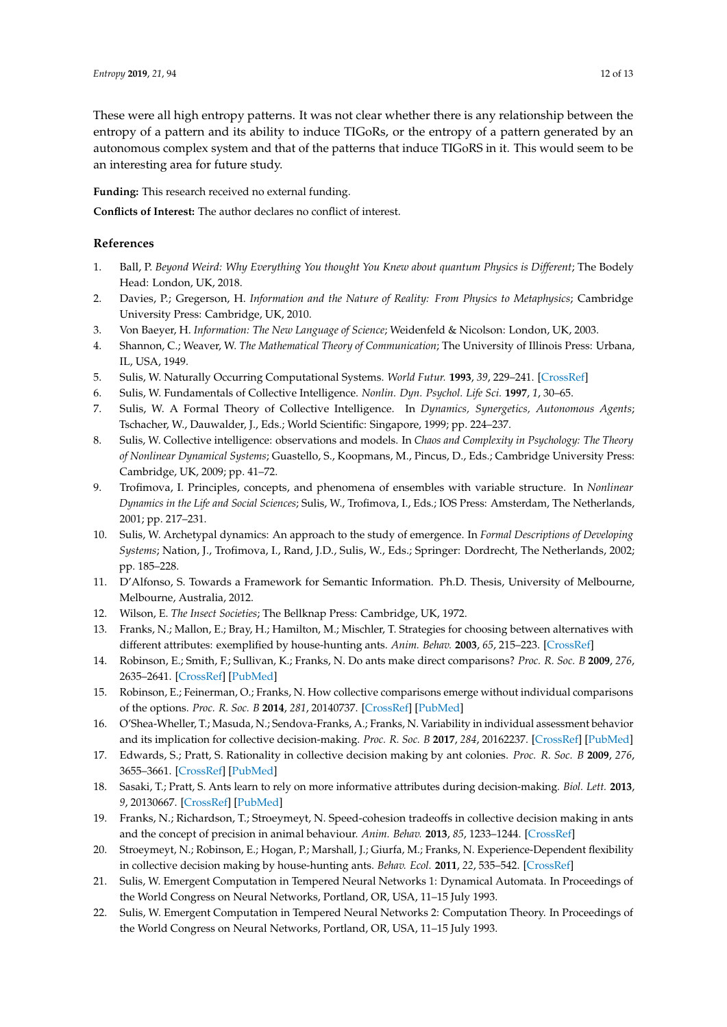These were all high entropy patterns. It was not clear whether there is any relationship between the entropy of a pattern and its ability to induce TIGoRs, or the entropy of a pattern generated by an autonomous complex system and that of the patterns that induce TIGoRS in it. This would seem to be an interesting area for future study.

**Funding:** This research received no external funding.

**Conflicts of Interest:** The author declares no conflict of interest.

## **References**

- <span id="page-11-0"></span>1. Ball, P. *Beyond Weird: Why Everything You thought You Knew about quantum Physics is Different*; The Bodely Head: London, UK, 2018.
- 2. Davies, P.; Gregerson, H. *Information and the Nature of Reality: From Physics to Metaphysics*; Cambridge University Press: Cambridge, UK, 2010.
- <span id="page-11-1"></span>3. Von Baeyer, H. *Information: The New Language of Science*; Weidenfeld & Nicolson: London, UK, 2003.
- <span id="page-11-2"></span>4. Shannon, C.; Weaver, W. *The Mathematical Theory of Communication*; The University of Illinois Press: Urbana, IL, USA, 1949.
- <span id="page-11-3"></span>5. Sulis, W. Naturally Occurring Computational Systems. *World Futur.* **1993**, *39*, 229–241. [\[CrossRef\]](http://dx.doi.org/10.1080/02604027.1994.9972406)
- <span id="page-11-4"></span>6. Sulis, W. Fundamentals of Collective Intelligence. *Nonlin. Dyn. Psychol. Life Sci.* **1997**, *1*, 30–65.
- 7. Sulis, W. A Formal Theory of Collective Intelligence. In *Dynamics, Synergetics, Autonomous Agents*; Tschacher, W., Dauwalder, J., Eds.; World Scientific: Singapore, 1999; pp. 224–237.
- <span id="page-11-5"></span>8. Sulis, W. Collective intelligence: observations and models. In *Chaos and Complexity in Psychology: The Theory of Nonlinear Dynamical Systems*; Guastello, S., Koopmans, M., Pincus, D., Eds.; Cambridge University Press: Cambridge, UK, 2009; pp. 41–72.
- <span id="page-11-6"></span>9. Trofimova, I. Principles, concepts, and phenomena of ensembles with variable structure. In *Nonlinear Dynamics in the Life and Social Sciences*; Sulis, W., Trofimova, I., Eds.; IOS Press: Amsterdam, The Netherlands, 2001; pp. 217–231.
- <span id="page-11-7"></span>10. Sulis, W. Archetypal dynamics: An approach to the study of emergence. In *Formal Descriptions of Developing Systems*; Nation, J., Trofimova, I., Rand, J.D., Sulis, W., Eds.; Springer: Dordrecht, The Netherlands, 2002; pp. 185–228.
- <span id="page-11-8"></span>11. D'Alfonso, S. Towards a Framework for Semantic Information. Ph.D. Thesis, University of Melbourne, Melbourne, Australia, 2012.
- <span id="page-11-9"></span>12. Wilson, E. *The Insect Societies*; The Bellknap Press: Cambridge, UK, 1972.
- <span id="page-11-10"></span>13. Franks, N.; Mallon, E.; Bray, H.; Hamilton, M.; Mischler, T. Strategies for choosing between alternatives with different attributes: exemplified by house-hunting ants. *Anim. Behav.* **2003**, *65*, 215–223. [\[CrossRef\]](http://dx.doi.org/10.1006/anbe.2002.2032)
- <span id="page-11-11"></span>14. Robinson, E.; Smith, F.; Sullivan, K.; Franks, N. Do ants make direct comparisons? *Proc. R. Soc. B* **2009**, *276*, 2635–2641. [\[CrossRef\]](http://dx.doi.org/10.1098/rspb.2009.0350) [\[PubMed\]](http://www.ncbi.nlm.nih.gov/pubmed/19386652)
- <span id="page-11-12"></span>15. Robinson, E.; Feinerman, O.; Franks, N. How collective comparisons emerge without individual comparisons of the options. *Proc. R. Soc. B* **2014**, *281*, 20140737. [\[CrossRef\]](http://dx.doi.org/10.1098/rspb.2014.0737) [\[PubMed\]](http://www.ncbi.nlm.nih.gov/pubmed/24920474)
- <span id="page-11-13"></span>16. O'Shea-Wheller, T.; Masuda, N.; Sendova-Franks, A.; Franks, N. Variability in individual assessment behavior and its implication for collective decision-making. *Proc. R. Soc. B* **2017**, *284*, 20162237. [\[CrossRef\]](http://dx.doi.org/10.1098/rspb.2016.2237) [\[PubMed\]](http://www.ncbi.nlm.nih.gov/pubmed/28148748)
- <span id="page-11-14"></span>17. Edwards, S.; Pratt, S. Rationality in collective decision making by ant colonies. *Proc. R. Soc. B* **2009**, *276*, 3655–3661. [\[CrossRef\]](http://dx.doi.org/10.1098/rspb.2009.0981) [\[PubMed\]](http://www.ncbi.nlm.nih.gov/pubmed/19625319)
- <span id="page-11-15"></span>18. Sasaki, T.; Pratt, S. Ants learn to rely on more informative attributes during decision-making. *Biol. Lett.* **2013**, *9*, 20130667. [\[CrossRef\]](http://dx.doi.org/10.1098/rsbl.2013.0667) [\[PubMed\]](http://www.ncbi.nlm.nih.gov/pubmed/24196516)
- <span id="page-11-16"></span>19. Franks, N.; Richardson, T.; Stroeymeyt, N. Speed-cohesion tradeoffs in collective decision making in ants and the concept of precision in animal behaviour. *Anim. Behav.* **2013**, *85*, 1233–1244. [\[CrossRef\]](http://dx.doi.org/10.1016/j.anbehav.2013.03.010)
- <span id="page-11-17"></span>20. Stroeymeyt, N.; Robinson, E.; Hogan, P.; Marshall, J.; Giurfa, M.; Franks, N. Experience-Dependent flexibility in collective decision making by house-hunting ants. *Behav. Ecol.* **2011**, *22*, 535–542. [\[CrossRef\]](http://dx.doi.org/10.1093/beheco/arr007)
- <span id="page-11-18"></span>21. Sulis, W. Emergent Computation in Tempered Neural Networks 1: Dynamical Automata. In Proceedings of the World Congress on Neural Networks, Portland, OR, USA, 11–15 July 1993.
- <span id="page-11-19"></span>22. Sulis, W. Emergent Computation in Tempered Neural Networks 2: Computation Theory. In Proceedings of the World Congress on Neural Networks, Portland, OR, USA, 11–15 July 1993.